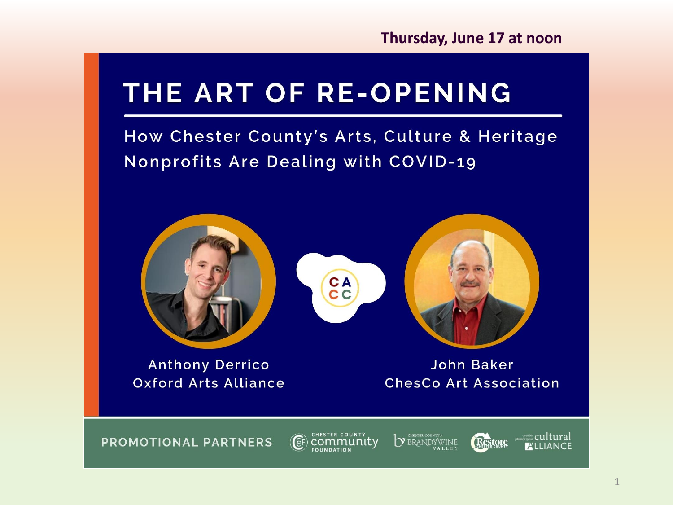**Thursday, June 17 at noon**

# THE ART OF RE-OPENING

How Chester County's Arts, Culture & Heritage **Nonprofits Are Dealing with COVID-19** 



1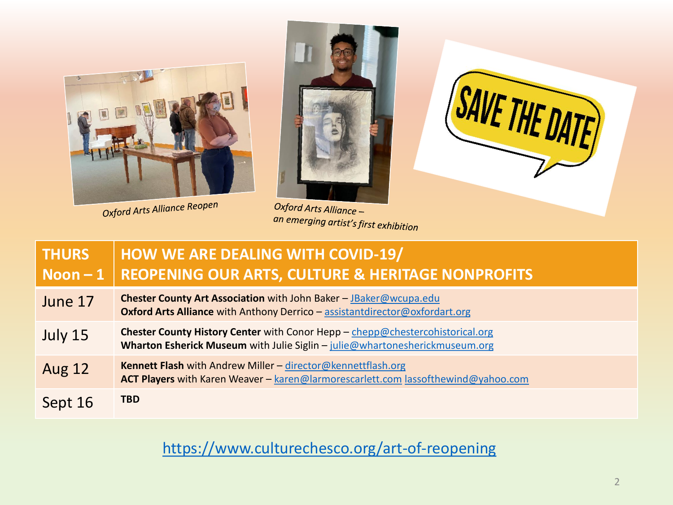

Oxford Arts Alliance Reopen



Oxford Arts Alliance an emerging artist's first exhibition



| <b>THURS</b><br>Noon $-1$ | <b>HOW WE ARE DEALING WITH COVID-19/</b><br><b>REOPENING OUR ARTS, CULTURE &amp; HERITAGE NONPROFITS</b>                                                     |
|---------------------------|--------------------------------------------------------------------------------------------------------------------------------------------------------------|
| June 17                   | Chester County Art Association with John Baker - JBaker@wcupa.edu<br><b>Oxford Arts Alliance with Anthony Derrico - assistantdirector@oxfordart.org</b>      |
| July 15                   | Chester County History Center with Conor Hepp - chepp@chestercohistorical.org<br>Wharton Esherick Museum with Julie Siglin - julie@whartonesherickmuseum.org |
| <b>Aug 12</b>             | <b>Kennett Flash with Andrew Miller - director@kennettflash.org</b><br>ACT Players with Karen Weaver - karen@larmorescarlett.com lassofthewind@yahoo.com     |
| Sept 16                   | <b>TBD</b>                                                                                                                                                   |

<https://www.culturechesco.org/art-of-reopening>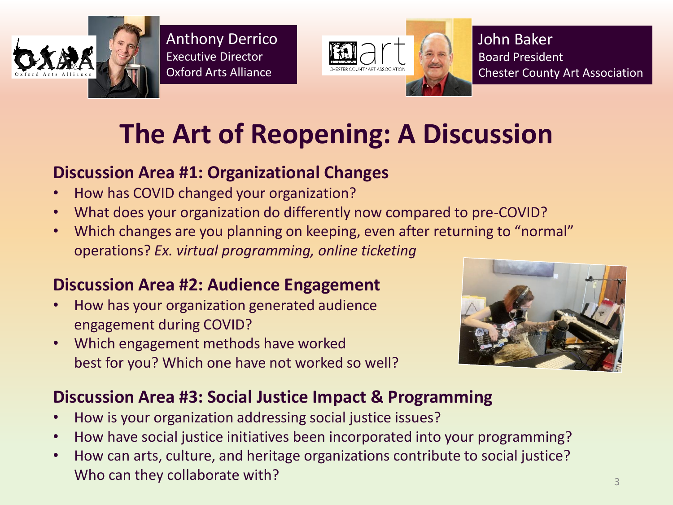

Anthony Derrico Executive Director Oxford Arts Alliance



John Baker Board President Chester County Art Association

# **The Art of Reopening: A Discussion**

#### **Discussion Area #1: Organizational Changes**

- How has COVID changed your organization?
- What does your organization do differently now compared to pre-COVID?
- Which changes are you planning on keeping, even after returning to "normal" operations? *Ex. virtual programming, online ticketing*

### **Discussion Area #2: Audience Engagement**

- How has your organization generated audience engagement during COVID?
- Which engagement methods have worked best for you? Which one have not worked so well?



#### **Discussion Area #3: Social Justice Impact & Programming**

- How is your organization addressing social justice issues?
- How have social justice initiatives been incorporated into your programming?
- How can arts, culture, and heritage organizations contribute to social justice? Who can they collaborate with?  $\frac{3}{3}$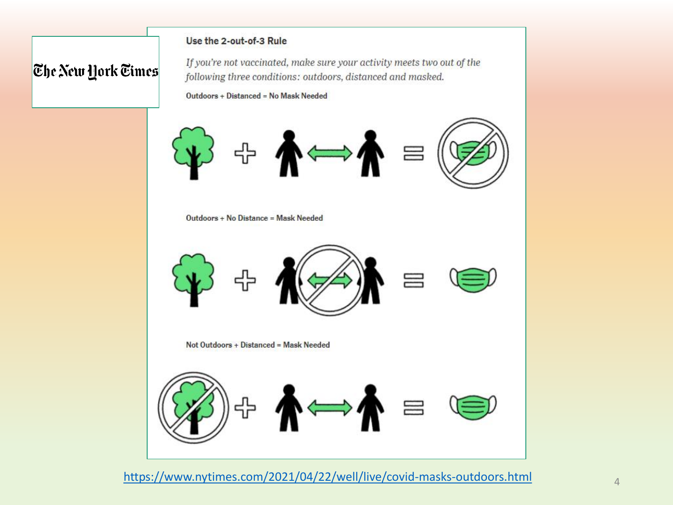#### Use the 2-out-of-3 Rule

#### **The New York Times**

If you're not vaccinated, make sure your activity meets two out of the following three conditions: outdoors, distanced and masked.

Outdoors + Distanced = No Mask Needed



Outdoors + No Distance = Mask Needed



Not Outdoors + Distanced = Mask Needed



<https://www.nytimes.com/2021/04/22/well/live/covid-masks-outdoors.html>